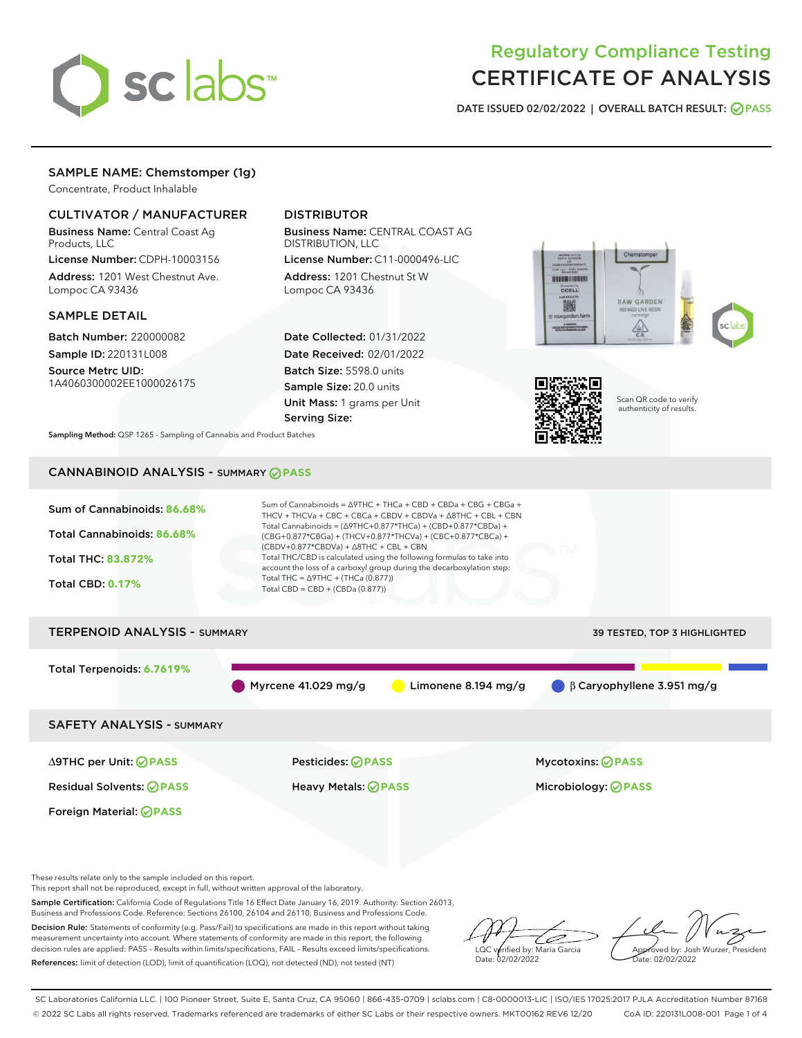

# Regulatory Compliance Testing CERTIFICATE OF ANALYSIS

DATE ISSUED 02/02/2022 | OVERALL BATCH RESULT: @ PASS

# SAMPLE NAME: Chemstomper (1g)

Concentrate, Product Inhalable

# CULTIVATOR / MANUFACTURER

Business Name: Central Coast Ag Products, LLC

License Number: CDPH-10003156 Address: 1201 West Chestnut Ave. Lompoc CA 93436

### SAMPLE DETAIL

Batch Number: 220000082 Sample ID: 220131L008

Source Metrc UID: 1A4060300002EE1000026175

# DISTRIBUTOR

Business Name: CENTRAL COAST AG DISTRIBUTION, LLC

License Number: C11-0000496-LIC Address: 1201 Chestnut St W Lompoc CA 93436

Date Collected: 01/31/2022 Date Received: 02/01/2022 Batch Size: 5598.0 units Sample Size: 20.0 units Unit Mass: 1 grams per Unit Serving Size:





Scan QR code to verify authenticity of results.

Sampling Method: QSP 1265 - Sampling of Cannabis and Product Batches

# CANNABINOID ANALYSIS - SUMMARY **PASS**



This report shall not be reproduced, except in full, without written approval of the laboratory.

Sample Certification: California Code of Regulations Title 16 Effect Date January 16, 2019. Authority: Section 26013, Business and Professions Code. Reference: Sections 26100, 26104 and 26110, Business and Professions Code.

Decision Rule: Statements of conformity (e.g. Pass/Fail) to specifications are made in this report without taking measurement uncertainty into account. Where statements of conformity are made in this report, the following decision rules are applied: PASS – Results within limits/specifications, FAIL – Results exceed limits/specifications. References: limit of detection (LOD), limit of quantification (LOQ), not detected (ND), not tested (NT)

'E LQC verified by: Maria Garcia Date: 02/02/2022

Approved by: Josh Wurzer, President ate: 02/02/2022

SC Laboratories California LLC. | 100 Pioneer Street, Suite E, Santa Cruz, CA 95060 | 866-435-0709 | sclabs.com | C8-0000013-LIC | ISO/IES 17025:2017 PJLA Accreditation Number 87168 © 2022 SC Labs all rights reserved. Trademarks referenced are trademarks of either SC Labs or their respective owners. MKT00162 REV6 12/20 CoA ID: 220131L008-001 Page 1 of 4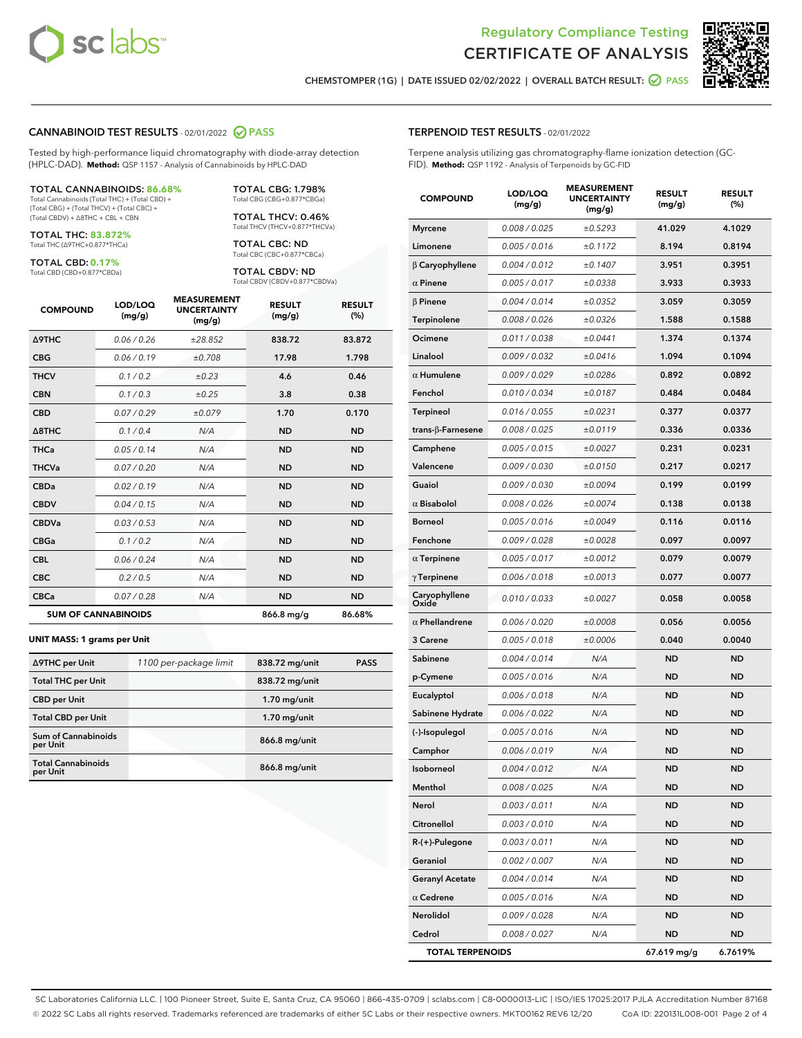



CHEMSTOMPER (1G) | DATE ISSUED 02/02/2022 | OVERALL BATCH RESULT: ○ PASS

### CANNABINOID TEST RESULTS - 02/01/2022 2 PASS

Tested by high-performance liquid chromatography with diode-array detection (HPLC-DAD). **Method:** QSP 1157 - Analysis of Cannabinoids by HPLC-DAD

#### TOTAL CANNABINOIDS: **86.68%**

Total Cannabinoids (Total THC) + (Total CBD) + (Total CBG) + (Total THCV) + (Total CBC) + (Total CBDV) + ∆8THC + CBL + CBN

TOTAL THC: **83.872%** Total THC (∆9THC+0.877\*THCa)

TOTAL CBD: **0.17%**

Total CBD (CBD+0.877\*CBDa)

TOTAL CBG: 1.798% Total CBG (CBG+0.877\*CBGa)

TOTAL THCV: 0.46% Total THCV (THCV+0.877\*THCVa)

TOTAL CBC: ND Total CBC (CBC+0.877\*CBCa)

TOTAL CBDV: ND Total CBDV (CBDV+0.877\*CBDVa)

| <b>COMPOUND</b>  | LOD/LOQ<br>(mg/g)          | <b>MEASUREMENT</b><br><b>UNCERTAINTY</b><br>(mg/g) | <b>RESULT</b><br>(mg/g) | <b>RESULT</b><br>(%) |
|------------------|----------------------------|----------------------------------------------------|-------------------------|----------------------|
| <b>A9THC</b>     | 0.06 / 0.26                | ±28.852                                            | 838.72                  | 83.872               |
| <b>CBG</b>       | 0.06 / 0.19                | ±0.708                                             | 17.98                   | 1.798                |
| <b>THCV</b>      | 0.1 / 0.2                  | ±0.23                                              | 4.6                     | 0.46                 |
| <b>CBN</b>       | 0.1/0.3                    | $\pm 0.25$                                         | 3.8                     | 0.38                 |
| <b>CBD</b>       | 0.07/0.29                  | ±0.079                                             | 1.70                    | 0.170                |
| $\triangle$ 8THC | 0.1 / 0.4                  | N/A                                                | <b>ND</b>               | <b>ND</b>            |
| THCa             | 0.05/0.14                  | N/A                                                | <b>ND</b>               | <b>ND</b>            |
| <b>THCVa</b>     | 0.07/0.20                  | N/A                                                | <b>ND</b>               | <b>ND</b>            |
| <b>CBDa</b>      | 0.02/0.19                  | N/A                                                | <b>ND</b>               | <b>ND</b>            |
| <b>CBDV</b>      | 0.04 / 0.15                | N/A                                                | <b>ND</b>               | <b>ND</b>            |
| <b>CBDVa</b>     | 0.03/0.53                  | N/A                                                | <b>ND</b>               | <b>ND</b>            |
| <b>CBGa</b>      | 0.1 / 0.2                  | N/A                                                | <b>ND</b>               | <b>ND</b>            |
| <b>CBL</b>       | 0.06 / 0.24                | N/A                                                | <b>ND</b>               | <b>ND</b>            |
| <b>CBC</b>       | 0.2 / 0.5                  | N/A                                                | <b>ND</b>               | <b>ND</b>            |
| <b>CBCa</b>      | 0.07/0.28                  | N/A                                                | <b>ND</b>               | <b>ND</b>            |
|                  | <b>SUM OF CANNABINOIDS</b> |                                                    | 866.8 mg/g              | 86.68%               |

#### **UNIT MASS: 1 grams per Unit**

| ∆9THC per Unit                        | 1100 per-package limit | 838.72 mg/unit | <b>PASS</b> |
|---------------------------------------|------------------------|----------------|-------------|
| <b>Total THC per Unit</b>             |                        | 838.72 mg/unit |             |
| <b>CBD per Unit</b>                   |                        | $1.70$ mg/unit |             |
| <b>Total CBD per Unit</b>             |                        | $1.70$ mg/unit |             |
| Sum of Cannabinoids<br>per Unit       |                        | 866.8 mg/unit  |             |
| <b>Total Cannabinoids</b><br>per Unit |                        | 866.8 mg/unit  |             |

# TERPENOID TEST RESULTS - 02/01/2022

Terpene analysis utilizing gas chromatography-flame ionization detection (GC-FID). **Method:** QSP 1192 - Analysis of Terpenoids by GC-FID

| <b>COMPOUND</b>           | LOD/LOQ<br>(mg/g) | <b>MEASUREMENT</b><br><b>UNCERTAINTY</b><br>(mg/g) | <b>RESULT</b><br>(mg/g) | <b>RESULT</b><br>(%) |
|---------------------------|-------------------|----------------------------------------------------|-------------------------|----------------------|
| <b>Myrcene</b>            | 0.008 / 0.025     | ±0.5293                                            | 41.029                  | 4.1029               |
| Limonene                  | 0.005 / 0.016     | ±0.1172                                            | 8.194                   | 0.8194               |
| $\beta$ Caryophyllene     | 0.004 / 0.012     | ±0.1407                                            | 3.951                   | 0.3951               |
| $\alpha$ Pinene           | 0.005 / 0.017     | ±0.0338                                            | 3.933                   | 0.3933               |
| $\beta$ Pinene            | 0.004 / 0.014     | ±0.0352                                            | 3.059                   | 0.3059               |
| Terpinolene               | 0.008 / 0.026     | ±0.0326                                            | 1.588                   | 0.1588               |
| Ocimene                   | 0.011 / 0.038     | ±0.0441                                            | 1.374                   | 0.1374               |
| Linalool                  | 0.009 / 0.032     | ±0.0416                                            | 1.094                   | 0.1094               |
| $\alpha$ Humulene         | 0.009/0.029       | ±0.0286                                            | 0.892                   | 0.0892               |
| Fenchol                   | 0.010 / 0.034     | ±0.0187                                            | 0.484                   | 0.0484               |
| Terpineol                 | 0.016 / 0.055     | ±0.0231                                            | 0.377                   | 0.0377               |
| trans- $\beta$ -Farnesene | 0.008 / 0.025     | ±0.0119                                            | 0.336                   | 0.0336               |
| Camphene                  | 0.005 / 0.015     | ±0.0027                                            | 0.231                   | 0.0231               |
| Valencene                 | 0.009 / 0.030     | ±0.0150                                            | 0.217                   | 0.0217               |
| Guaiol                    | 0.009 / 0.030     | ±0.0094                                            | 0.199                   | 0.0199               |
| $\alpha$ Bisabolol        | 0.008 / 0.026     | ±0.0074                                            | 0.138                   | 0.0138               |
| <b>Borneol</b>            | 0.005 / 0.016     | ±0.0049                                            | 0.116                   | 0.0116               |
| Fenchone                  | 0.009 / 0.028     | ±0.0028                                            | 0.097                   | 0.0097               |
| $\alpha$ Terpinene        | 0.005 / 0.017     | ±0.0012                                            | 0.079                   | 0.0079               |
| $\gamma$ Terpinene        | 0.006 / 0.018     | ±0.0013                                            | 0.077                   | 0.0077               |
| Caryophyllene<br>Oxide    | 0.010 / 0.033     | ±0.0027                                            | 0.058                   | 0.0058               |
| $\alpha$ Phellandrene     | 0.006 / 0.020     | ±0.0008                                            | 0.056                   | 0.0056               |
| 3 Carene                  | 0.005 / 0.018     | ±0.0006                                            | 0.040                   | 0.0040               |
| Sabinene                  | 0.004 / 0.014     | N/A                                                | <b>ND</b>               | <b>ND</b>            |
| p-Cymene                  | 0.005 / 0.016     | N/A                                                | ND                      | ND                   |
| Eucalyptol                | 0.006 / 0.018     | N/A                                                | ND                      | ND                   |
| Sabinene Hydrate          | 0.006 / 0.022     | N/A                                                | <b>ND</b>               | ND                   |
| (-)-Isopulegol            | 0.005 / 0.016     | N/A                                                | ND                      | ND                   |
| Camphor                   | 0.006 / 0.019     | N/A                                                | ND                      | ND                   |
| Isoborneol                | 0.004 / 0.012     | N/A                                                | <b>ND</b>               | <b>ND</b>            |
| Menthol                   | 0.008 / 0.025     | N/A                                                | ND                      | ND                   |
| Nerol                     | 0.003 / 0.011     | N/A                                                | ND                      | ND                   |
| Citronellol               | 0.003 / 0.010     | N/A                                                | ND                      | ND                   |
| R-(+)-Pulegone            | 0.003 / 0.011     | N/A                                                | ND                      | ND                   |
| Geraniol                  | 0.002 / 0.007     | N/A                                                | ND                      | ND                   |
| <b>Geranyl Acetate</b>    | 0.004 / 0.014     | N/A                                                | ND                      | ND                   |
| $\alpha$ Cedrene          | 0.005 / 0.016     | N/A                                                | ND                      | ND                   |
| Nerolidol                 | 0.009 / 0.028     | N/A                                                | ND                      | ND                   |
| Cedrol                    | 0.008 / 0.027     | N/A                                                | ND                      | ND                   |
| <b>TOTAL TERPENOIDS</b>   |                   |                                                    | 67.619 mg/g             | 6.7619%              |

SC Laboratories California LLC. | 100 Pioneer Street, Suite E, Santa Cruz, CA 95060 | 866-435-0709 | sclabs.com | C8-0000013-LIC | ISO/IES 17025:2017 PJLA Accreditation Number 87168 © 2022 SC Labs all rights reserved. Trademarks referenced are trademarks of either SC Labs or their respective owners. MKT00162 REV6 12/20 CoA ID: 220131L008-001 Page 2 of 4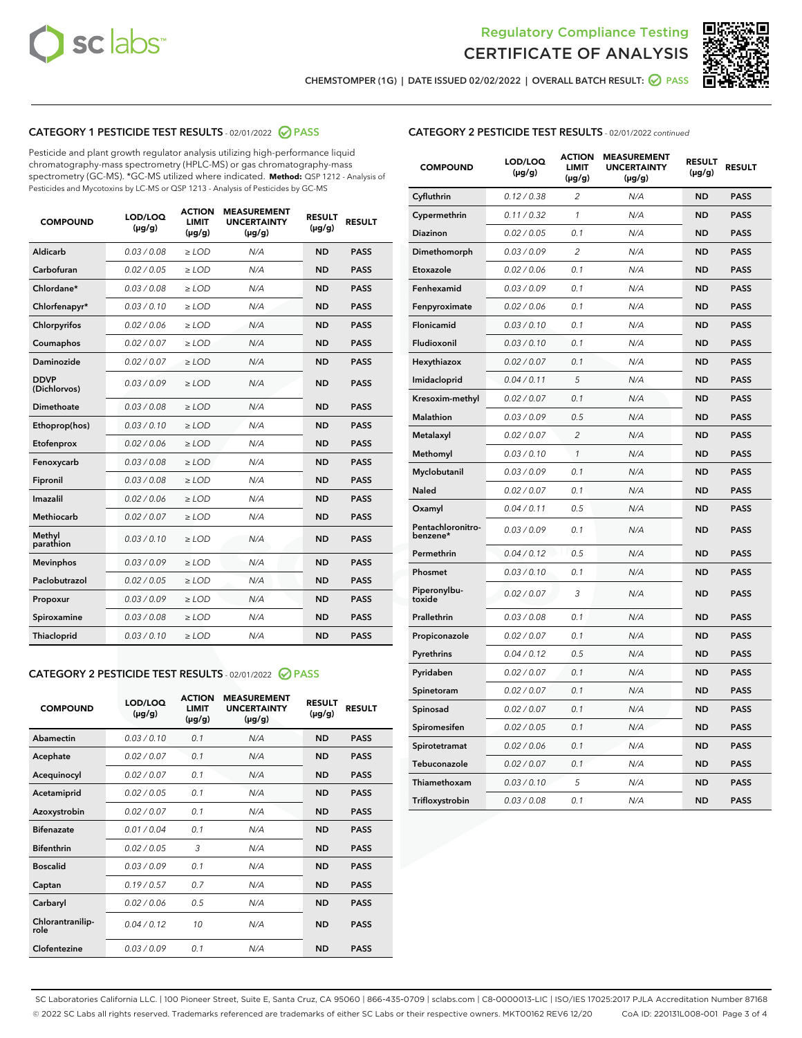



CHEMSTOMPER (1G) | DATE ISSUED 02/02/2022 | OVERALL BATCH RESULT: ● PASS

# CATEGORY 1 PESTICIDE TEST RESULTS - 02/01/2022 2 PASS

Pesticide and plant growth regulator analysis utilizing high-performance liquid chromatography-mass spectrometry (HPLC-MS) or gas chromatography-mass spectrometry (GC-MS). \*GC-MS utilized where indicated. **Method:** QSP 1212 - Analysis of Pesticides and Mycotoxins by LC-MS or QSP 1213 - Analysis of Pesticides by GC-MS

| <b>COMPOUND</b>             | LOD/LOQ<br>$(\mu g/g)$ | <b>ACTION</b><br><b>LIMIT</b><br>$(\mu g/g)$ | <b>MEASUREMENT</b><br><b>UNCERTAINTY</b><br>$(\mu g/g)$ | <b>RESULT</b><br>$(\mu g/g)$ | <b>RESULT</b> |
|-----------------------------|------------------------|----------------------------------------------|---------------------------------------------------------|------------------------------|---------------|
| Aldicarb                    | 0.03 / 0.08            | $\geq$ LOD                                   | N/A                                                     | <b>ND</b>                    | <b>PASS</b>   |
| Carbofuran                  | 0.02/0.05              | $>$ LOD                                      | N/A                                                     | <b>ND</b>                    | <b>PASS</b>   |
| Chlordane*                  | 0.03 / 0.08            | $\ge$ LOD                                    | N/A                                                     | <b>ND</b>                    | <b>PASS</b>   |
| Chlorfenapyr*               | 0.03/0.10              | $>$ LOD                                      | N/A                                                     | <b>ND</b>                    | <b>PASS</b>   |
| Chlorpyrifos                | 0.02 / 0.06            | $\ge$ LOD                                    | N/A                                                     | <b>ND</b>                    | <b>PASS</b>   |
| Coumaphos                   | 0.02 / 0.07            | $\ge$ LOD                                    | N/A                                                     | <b>ND</b>                    | <b>PASS</b>   |
| Daminozide                  | 0.02 / 0.07            | $\ge$ LOD                                    | N/A                                                     | <b>ND</b>                    | <b>PASS</b>   |
| <b>DDVP</b><br>(Dichlorvos) | 0.03/0.09              | $\ge$ LOD                                    | N/A                                                     | <b>ND</b>                    | <b>PASS</b>   |
| Dimethoate                  | 0.03/0.08              | $>$ LOD                                      | N/A                                                     | <b>ND</b>                    | <b>PASS</b>   |
| Ethoprop(hos)               | 0.03/0.10              | $\ge$ LOD                                    | N/A                                                     | <b>ND</b>                    | <b>PASS</b>   |
| Etofenprox                  | 0.02 / 0.06            | $\ge$ LOD                                    | N/A                                                     | <b>ND</b>                    | <b>PASS</b>   |
| Fenoxycarb                  | 0.03 / 0.08            | $\ge$ LOD                                    | N/A                                                     | <b>ND</b>                    | <b>PASS</b>   |
| Fipronil                    | 0.03/0.08              | $>$ LOD                                      | N/A                                                     | <b>ND</b>                    | <b>PASS</b>   |
| Imazalil                    | 0.02 / 0.06            | $\ge$ LOD                                    | N/A                                                     | <b>ND</b>                    | <b>PASS</b>   |
| <b>Methiocarb</b>           | 0.02 / 0.07            | $\ge$ LOD                                    | N/A                                                     | <b>ND</b>                    | <b>PASS</b>   |
| Methyl<br>parathion         | 0.03/0.10              | $\ge$ LOD                                    | N/A                                                     | <b>ND</b>                    | <b>PASS</b>   |
| <b>Mevinphos</b>            | 0.03/0.09              | $>$ LOD                                      | N/A                                                     | <b>ND</b>                    | <b>PASS</b>   |
| Paclobutrazol               | 0.02 / 0.05            | $\ge$ LOD                                    | N/A                                                     | <b>ND</b>                    | <b>PASS</b>   |
| Propoxur                    | 0.03/0.09              | $\ge$ LOD                                    | N/A                                                     | <b>ND</b>                    | <b>PASS</b>   |
| Spiroxamine                 | 0.03 / 0.08            | $\ge$ LOD                                    | N/A                                                     | <b>ND</b>                    | <b>PASS</b>   |
| Thiacloprid                 | 0.03/0.10              | $\ge$ LOD                                    | N/A                                                     | <b>ND</b>                    | <b>PASS</b>   |

# CATEGORY 2 PESTICIDE TEST RESULTS - 02/01/2022 @ PASS

| <b>COMPOUND</b>          | LOD/LOQ<br>$(\mu g/g)$ | <b>ACTION</b><br><b>LIMIT</b><br>$(\mu g/g)$ | <b>MEASUREMENT</b><br><b>UNCERTAINTY</b><br>$(\mu g/g)$ | <b>RESULT</b><br>$(\mu g/g)$ | <b>RESULT</b> |
|--------------------------|------------------------|----------------------------------------------|---------------------------------------------------------|------------------------------|---------------|
| Abamectin                | 0.03/0.10              | 0.1                                          | N/A                                                     | <b>ND</b>                    | <b>PASS</b>   |
| Acephate                 | 0.02/0.07              | 0.1                                          | N/A                                                     | <b>ND</b>                    | <b>PASS</b>   |
| Acequinocyl              | 0.02/0.07              | 0.1                                          | N/A                                                     | <b>ND</b>                    | <b>PASS</b>   |
| Acetamiprid              | 0.02/0.05              | 0.1                                          | N/A                                                     | <b>ND</b>                    | <b>PASS</b>   |
| Azoxystrobin             | 0.02/0.07              | 0.1                                          | N/A                                                     | <b>ND</b>                    | <b>PASS</b>   |
| <b>Bifenazate</b>        | 0.01/0.04              | 0.1                                          | N/A                                                     | <b>ND</b>                    | <b>PASS</b>   |
| <b>Bifenthrin</b>        | 0.02/0.05              | 3                                            | N/A                                                     | <b>ND</b>                    | <b>PASS</b>   |
| <b>Boscalid</b>          | 0.03/0.09              | 0.1                                          | N/A                                                     | <b>ND</b>                    | <b>PASS</b>   |
| Captan                   | 0.19/0.57              | 0.7                                          | N/A                                                     | <b>ND</b>                    | <b>PASS</b>   |
| Carbaryl                 | 0.02/0.06              | 0.5                                          | N/A                                                     | <b>ND</b>                    | <b>PASS</b>   |
| Chlorantranilip-<br>role | 0.04/0.12              | 10                                           | N/A                                                     | <b>ND</b>                    | <b>PASS</b>   |
| Clofentezine             | 0.03/0.09              | 0.1                                          | N/A                                                     | <b>ND</b>                    | <b>PASS</b>   |

| <b>CATEGORY 2 PESTICIDE TEST RESULTS</b> - 02/01/2022 continued |
|-----------------------------------------------------------------|
|-----------------------------------------------------------------|

| <b>COMPOUND</b>               | LOD/LOQ<br>(µg/g) | <b>ACTION</b><br>LIMIT<br>$(\mu g/g)$ | <b>MEASUREMENT</b><br><b>UNCERTAINTY</b><br>$(\mu g/g)$ | <b>RESULT</b><br>(µg/g) | <b>RESULT</b> |
|-------------------------------|-------------------|---------------------------------------|---------------------------------------------------------|-------------------------|---------------|
| Cyfluthrin                    | 0.12 / 0.38       | 2                                     | N/A                                                     | <b>ND</b>               | <b>PASS</b>   |
| Cypermethrin                  | 0.11 / 0.32       | 1                                     | N/A                                                     | <b>ND</b>               | <b>PASS</b>   |
| Diazinon                      | 0.02 / 0.05       | 0.1                                   | N/A                                                     | ND                      | PASS          |
| Dimethomorph                  | 0.03 / 0.09       | $\overline{2}$                        | N/A                                                     | <b>ND</b>               | <b>PASS</b>   |
| Etoxazole                     | 0.02 / 0.06       | 0.1                                   | N/A                                                     | ND                      | <b>PASS</b>   |
| Fenhexamid                    | 0.03 / 0.09       | 0.1                                   | N/A                                                     | ND                      | <b>PASS</b>   |
| Fenpyroximate                 | 0.02 / 0.06       | 0.1                                   | N/A                                                     | <b>ND</b>               | <b>PASS</b>   |
| Flonicamid                    | 0.03 / 0.10       | 0.1                                   | N/A                                                     | <b>ND</b>               | <b>PASS</b>   |
| Fludioxonil                   | 0.03 / 0.10       | 0.1                                   | N/A                                                     | <b>ND</b>               | <b>PASS</b>   |
| Hexythiazox                   | 0.02 / 0.07       | 0.1                                   | N/A                                                     | ND                      | <b>PASS</b>   |
| Imidacloprid                  | 0.04 / 0.11       | 5                                     | N/A                                                     | <b>ND</b>               | <b>PASS</b>   |
| Kresoxim-methyl               | 0.02 / 0.07       | 0.1                                   | N/A                                                     | ND                      | <b>PASS</b>   |
| Malathion                     | 0.03 / 0.09       | 0.5                                   | N/A                                                     | ND                      | <b>PASS</b>   |
| Metalaxyl                     | 0.02 / 0.07       | $\overline{2}$                        | N/A                                                     | <b>ND</b>               | <b>PASS</b>   |
| Methomyl                      | 0.03 / 0.10       | 1                                     | N/A                                                     | <b>ND</b>               | <b>PASS</b>   |
| Myclobutanil                  | 0.03 / 0.09       | 0.1                                   | N/A                                                     | ND                      | <b>PASS</b>   |
| <b>Naled</b>                  | 0.02 / 0.07       | 0.1                                   | N/A                                                     | ND                      | <b>PASS</b>   |
| Oxamyl                        | 0.04 / 0.11       | 0.5                                   | N/A                                                     | ND                      | <b>PASS</b>   |
| Pentachloronitro-<br>benzene* | 0.03/0.09         | 0.1                                   | N/A                                                     | ND                      | <b>PASS</b>   |
| Permethrin                    | 0.04 / 0.12       | 0.5                                   | N/A                                                     | ND                      | PASS          |
| Phosmet                       | 0.03 / 0.10       | 0.1                                   | N/A                                                     | <b>ND</b>               | <b>PASS</b>   |
| Piperonylbu-<br>toxide        | 0.02 / 0.07       | 3                                     | N/A                                                     | ND                      | <b>PASS</b>   |
| Prallethrin                   | 0.03 / 0.08       | 0.1                                   | N/A                                                     | <b>ND</b>               | <b>PASS</b>   |
| Propiconazole                 | 0.02 / 0.07       | 0.1                                   | N/A                                                     | ND                      | <b>PASS</b>   |
| Pyrethrins                    | 0.04 / 0.12       | 0.5                                   | N/A                                                     | ND                      | <b>PASS</b>   |
| Pyridaben                     | 0.02 / 0.07       | 0.1                                   | N/A                                                     | ND                      | <b>PASS</b>   |
| Spinetoram                    | 0.02 / 0.07       | 0.1                                   | N/A                                                     | ND                      | <b>PASS</b>   |
| Spinosad                      | 0.02 / 0.07       | 0.1                                   | N/A                                                     | ND                      | <b>PASS</b>   |
| Spiromesifen                  | 0.02 / 0.05       | 0.1                                   | N/A                                                     | ND                      | <b>PASS</b>   |
| Spirotetramat                 | 0.02 / 0.06       | 0.1                                   | N/A                                                     | ND                      | <b>PASS</b>   |
| Tebuconazole                  | 0.02 / 0.07       | 0.1                                   | N/A                                                     | ND                      | <b>PASS</b>   |
| Thiamethoxam                  | 0.03 / 0.10       | 5                                     | N/A                                                     | ND                      | <b>PASS</b>   |
| Trifloxystrobin               | 0.03 / 0.08       | 0.1                                   | N/A                                                     | ND                      | <b>PASS</b>   |

SC Laboratories California LLC. | 100 Pioneer Street, Suite E, Santa Cruz, CA 95060 | 866-435-0709 | sclabs.com | C8-0000013-LIC | ISO/IES 17025:2017 PJLA Accreditation Number 87168 © 2022 SC Labs all rights reserved. Trademarks referenced are trademarks of either SC Labs or their respective owners. MKT00162 REV6 12/20 CoA ID: 220131L008-001 Page 3 of 4